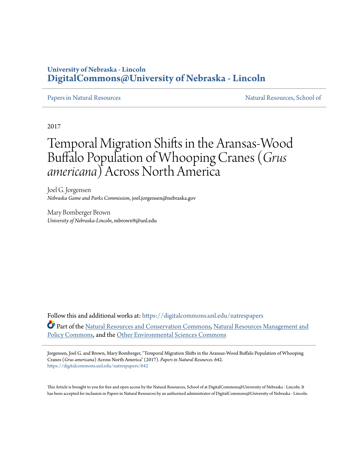# **University of Nebraska - Lincoln [DigitalCommons@University of Nebraska - Lincoln](https://digitalcommons.unl.edu?utm_source=digitalcommons.unl.edu%2Fnatrespapers%2F642&utm_medium=PDF&utm_campaign=PDFCoverPages)**

### [Papers in Natural Resources](https://digitalcommons.unl.edu/natrespapers?utm_source=digitalcommons.unl.edu%2Fnatrespapers%2F642&utm_medium=PDF&utm_campaign=PDFCoverPages) and Secure 2012 1999 Matural Resources, School of

2017

# Temporal Migration Shifts in the Aransas-Wood Buffalo Population of Whooping Cranes (*Grus americana*) Across North America

Joel G. Jorgensen *Nebraska Game and Parks Commission*, joel.jorgensen@nebraska.gov

Mary Bomberger Brown *University of Nebraska-Lincoln*, mbrown9@unl.edu

Follow this and additional works at: [https://digitalcommons.unl.edu/natrespapers](https://digitalcommons.unl.edu/natrespapers?utm_source=digitalcommons.unl.edu%2Fnatrespapers%2F642&utm_medium=PDF&utm_campaign=PDFCoverPages) Part of the [Natural Resources and Conservation Commons,](http://network.bepress.com/hgg/discipline/168?utm_source=digitalcommons.unl.edu%2Fnatrespapers%2F642&utm_medium=PDF&utm_campaign=PDFCoverPages) [Natural Resources Management and](http://network.bepress.com/hgg/discipline/170?utm_source=digitalcommons.unl.edu%2Fnatrespapers%2F642&utm_medium=PDF&utm_campaign=PDFCoverPages) [Policy Commons](http://network.bepress.com/hgg/discipline/170?utm_source=digitalcommons.unl.edu%2Fnatrespapers%2F642&utm_medium=PDF&utm_campaign=PDFCoverPages), and the [Other Environmental Sciences Commons](http://network.bepress.com/hgg/discipline/173?utm_source=digitalcommons.unl.edu%2Fnatrespapers%2F642&utm_medium=PDF&utm_campaign=PDFCoverPages)

Jorgensen, Joel G. and Brown, Mary Bomberger, "Temporal Migration Shifts in the Aransas-Wood Buffalo Population of Whooping Cranes (*Grus americana*) Across North America" (2017). *Papers in Natural Resources*. 642. [https://digitalcommons.unl.edu/natrespapers/642](https://digitalcommons.unl.edu/natrespapers/642?utm_source=digitalcommons.unl.edu%2Fnatrespapers%2F642&utm_medium=PDF&utm_campaign=PDFCoverPages)

This Article is brought to you for free and open access by the Natural Resources, School of at DigitalCommons@University of Nebraska - Lincoln. It has been accepted for inclusion in Papers in Natural Resources by an authorized administrator of DigitalCommons@University of Nebraska - Lincoln.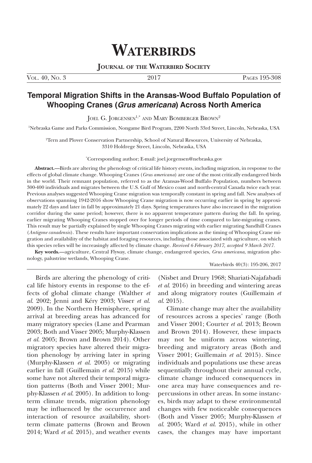# **WATERBIRDS**

**Journal of the Waterbird Society**

Vol. 40, No. 3 2017 Pages 195-308

## **Temporal Migration Shifts in the Aransas-Wood Buffalo Population of Whooping Cranes (***Grus americana***) Across North America**

JOEL G. JORGENSEN<sup>1,\*</sup> AND MARY BOMBERGER BROWN<sup>2</sup>

1 Nebraska Game and Parks Commission, Nongame Bird Program, 2200 North 33rd Street, Lincoln, Nebraska, USA

2 Tern and Plover Conservation Partnership, School of Natural Resources, University of Nebraska, 3310 Holdrege Street, Lincoln, Nebraska, USA

\* Corresponding author; E-mail: joel.jorgensen@nebraska.gov

**Abstract.—**Birds are altering the phenology of critical life history events, including migration, in response to the effects of global climate change. Whooping Cranes (*Grus americana*) are one of the most critically endangered birds in the world. Their remnant population, referred to as the Aransas-Wood Buffalo Population, numbers between 300-400 individuals and migrates between the U.S. Gulf of Mexico coast and north-central Canada twice each year. Previous analyses suggested Whooping Crane migration was temporally constant in spring and fall. New analyses of observations spanning 1942-2016 show Whooping Crane migration is now occurring earlier in spring by approximately 22 days and later in fall by approximately 21 days. Spring temperatures have also increased in the migration corridor during the same period; however, there is no apparent temperature pattern during the fall. In spring, earlier migrating Whooping Cranes stopped over for longer periods of time compared to late-migrating cranes. This result may be partially explained by single Whooping Cranes migrating with earlier migrating Sandhill Cranes (*Antigone canadensis*). These results have important conservation implications as the timing of Whooping Crane migration and availability of the habitat and foraging resources, including those associated with agriculture, on which this species relies will be increasingly affected by climate change. *Received 6 February 2017, accepted 9 March 2017.*

**Key words.—**agriculture, Central Flyway, climate change, endangered species, *Grus americana*, migration phenology, palustrine wetlands, Whooping Crane.

Waterbirds 40(3): 195-206, 2017

Birds are altering the phenology of critical life history events in response to the effects of global climate change (Walther *et al*. 2002; Jenni and Kéry 2003; Visser *et al*. 2009). In the Northern Hemisphere, spring arrival at breeding areas has advanced for many migratory species (Lane and Pearman 2003; Both and Visser 2005; Murphy-Klassen *et al*. 2005; Brown and Brown 2014). Other migratory species have altered their migration phenology by arriving later in spring (Murphy-Klassen *et al*. 2005) or migrating earlier in fall (Guillemain *et al*. 2015) while some have not altered their temporal migration patterns (Both and Visser 2001; Murphy-Klassen *et al*. 2005). In addition to longterm climate trends, migration phenology may be influenced by the occurrence and interaction of resource availability, shortterm climate patterns (Brown and Brown 2014; Ward *et al*. 2015), and weather events

(Nisbet and Drury 1968; Shariati-Najafabadi *et al*. 2016) in breeding and wintering areas and along migratory routes (Guillemain *et al*. 2015).

Climate change may alter the availability of resources across a species' range (Both and Visser 2001; Courter *et al*. 2013; Brown and Brown 2014). However, these impacts may not be uniform across wintering, breeding and migratory areas (Both and Visser 2001; Guillemain *et al*. 2015). Since individuals and populations use these areas sequentially throughout their annual cycle, climate change induced consequences in one area may have consequences and repercussions in other areas. In some instances, birds may adapt to these environmental changes with few noticeable consequences (Both and Visser 2005; Murphy-Klassen *et al*. 2005; Ward *et al*. 2015), while in other cases, the changes may have important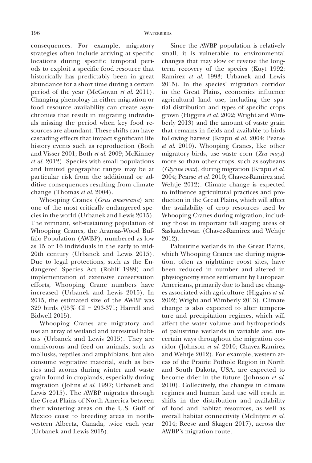consequences. For example, migratory strategies often include arriving at specific locations during specific temporal periods to exploit a specific food resource that historically has predictably been in great abundance for a short time during a certain period of the year (McGowan *et al*. 2011). Changing phenology in either migration or food resource availability can create asynchronies that result in migrating individuals missing the period when key food resources are abundant. These shifts can have cascading effects that impact significant life history events such as reproduction (Both and Visser 2001; Both *et al*. 2009; McKinney *et al*. 2012). Species with small populations and limited geographic ranges may be at particular risk from the additional or additive consequences resulting from climate change (Thomas *et al*. 2004).

Whooping Cranes (*Grus americana*) are one of the most critically endangered species in the world (Urbanek and Lewis 2015). The remnant, self-sustaining population of Whooping Cranes, the Aransas-Wood Buffalo Population (AWBP), numbered as low as 15 or 16 individuals in the early to mid-20th century (Urbanek and Lewis 2015). Due to legal protections, such as the Endangered Species Act (Rohlf 1989) and implementation of extensive conservation efforts, Whooping Crane numbers have increased (Urbanek and Lewis 2015). In 2015, the estimated size of the AWBP was 329 birds (95% CI = 293-371; Harrell and Bidwell 2015).

Whooping Cranes are migratory and use an array of wetland and terrestrial habitats (Urbanek and Lewis 2015). They are omnivorous and feed on animals, such as mollusks, reptiles and amphibians, but also consume vegetative material, such as berries and acorns during winter and waste grain found in croplands, especially during migration (Johns *et al*. 1997; Urbanek and Lewis 2015). The AWBP migrates through the Great Plains of North America between their wintering areas on the U.S. Gulf of Mexico coast to breeding areas in northwestern Alberta, Canada, twice each year (Urbanek and Lewis 2015).

Since the AWBP population is relatively small, it is vulnerable to environmental changes that may slow or reverse the longterm recovery of the species (Kuyt 1992; Ramirez *et al*. 1993; Urbanek and Lewis 2015). In the species' migration corridor in the Great Plains, economics influence agricultural land use, including the spatial distribution and types of specific crops grown (Higgins *et al*. 2002; Wright and Wimberly 2013) and the amount of waste grain that remains in fields and available to birds following harvest (Krapu *et al*. 2004; Pearse *et al*. 2010). Whooping Cranes, like other migratory birds, use waste corn (*Zea mays*) more so than other crops, such as soybeans (*Glycine max*), during migration (Krapu *et al*. 2004; Pearse *et al*. 2010; Chavez-Ramirez and Wehtje 2012). Climate change is expected to influence agricultural practices and production in the Great Plains, which will affect the availability of crop resources used by Whooping Cranes during migration, including those in important fall staging areas of Saskatchewan (Chavez-Ramirez and Wehtje 2012).

Palustrine wetlands in the Great Plains, which Whooping Cranes use during migration, often as nighttime roost sites, have been reduced in number and altered in physiognomy since settlement by European Americans, primarily due to land use changes associated with agriculture (Higgins *et al*. 2002; Wright and Wimberly 2013). Climate change is also expected to alter temperature and precipitation regimes, which will affect the water volume and hydroperiods of palustrine wetlands in variable and uncertain ways throughout the migration corridor (Johnson *et al*. 2010; Chavez-Ramirez and Wehtje 2012). For example, western areas of the Prairie Pothole Region in North and South Dakota, USA, are expected to become drier in the future (Johnson *et al*. 2010). Collectively, the changes in climate regimes and human land use will result in shifts in the distribution and availability of food and habitat resources, as well as overall habitat connectivity (McIntyre *et al*. 2014; Reese and Skagen 2017), across the AWBP's migration route.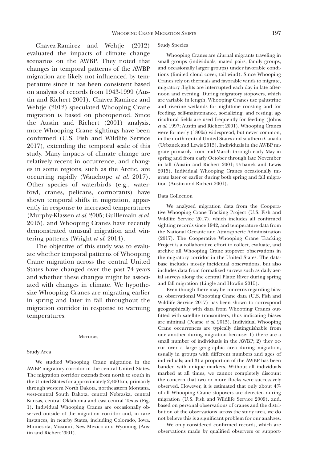Chavez-Ramirez and Wehtje (2012) evaluated the impacts of climate change scenarios on the AWBP. They noted that changes in temporal patterns of the AWBP migration are likely not influenced by temperature since it has been consistent based on analysis of records from 1943-1999 (Austin and Richert 2001). Chavez-Ramirez and Wehtje (2012) speculated Whooping Crane migration is based on photoperiod. Since the Austin and Richert (2001) analysis, more Whooping Crane sightings have been confirmed (U.S. Fish and Wildlife Service 2017), extending the temporal scale of this study. Many impacts of climate change are relatively recent in occurrence, and changes in some regions, such as the Arctic, are occurring rapidly (Wauchope *et al*. 2017). Other species of waterbirds (e.g., waterfowl, cranes, pelicans, cormorants) have shown temporal shifts in migration, apparently in response to increased temperatures (Murphy-Klassen *et al*. 2005; Guillemain *et al*. 2015), and Whooping Cranes have recently demonstrated unusual migration and wintering patterns (Wright *et al*. 2014).

The objective of this study was to evaluate whether temporal patterns of Whooping Crane migration across the central United States have changed over the past 74 years and whether these changes might be associated with changes in climate. We hypothesize Whooping Cranes are migrating earlier in spring and later in fall throughout the migration corridor in response to warming temperatures.

#### **METHODS**

#### Study Area

We studied Whooping Crane migration in the AWBP migratory corridor in the central United States. The migration corridor extends from north to south in the United States for approximately 2,400 km, primarily through western North Dakota, northeastern Montana, west-central South Dakota, central Nebraska, central Kansas, central Oklahoma and east-central Texas (Fig. 1). Individual Whooping Cranes are occasionally observed outside of the migration corridor and, in rare instances, in nearby States, including Colorado, Iowa, Minnesota, Missouri, New Mexico and Wyoming (Austin and Richert 2001).

#### Study Species

Whooping Cranes are diurnal migrants traveling in small groups (individuals, mated pairs, family groups, and occasionally larger groups) under favorable conditions (limited cloud cover, tail wind). Since Whooping Cranes rely on thermals and favorable winds to migrate, migratory flights are interrupted each day in late afternoon and evening. During migratory stopovers, which are variable in length, Whooping Cranes use palustrine and riverine wetlands for nighttime roosting and for feeding, self-maintenance, socializing, and resting; agricultural fields are used frequently for feeding (Johns *et al*. 1997; Austin and Richert 2001). Whooping Cranes were formerly (1800s) widespread, but never common, in the north-central United States and southern Canada (Urbanek and Lewis 2015). Individuals in the AWBP migrate primarily from mid-March through early May in spring and from early October through late November in fall (Austin and Richert 2001; Urbanek and Lewis 2015). Individual Whooping Cranes occasionally migrate later or earlier during both spring and fall migration (Austin and Richert 2001).

#### Data Collection

We analyzed migration data from the Cooperative Whooping Crane Tracking Project (U.S. Fish and Wildlife Service 2017), which includes all confirmed sighting records since 1942, and temperature data from the National Oceanic and Atmospheric Administration (2017). The Cooperative Whooping Crane Tracking Project is a collaborative effort to collect, evaluate, and archive all Whooping Crane stopover observations in the migratory corridor in the United States. The database includes mostly incidental observations, but also includes data from formalized surveys such as daily aerial surveys along the central Platte River during spring and fall migration (Lingle and Howlin 2015).

Even though there may be concerns regarding biases, observational Whooping Crane data (U.S. Fish and Wildlife Service 2017) has been shown to correspond geographically with data from Whooping Cranes outfitted with satellite transmitters, thus indicating biases are minimal (Pearse *et al*. 2015). Individual Whooping Crane occurrences are typically distinguishable from one another during migration because: 1) there are a small number of individuals in the AWBP; 2) they occur over a large geographic area during migration, usually in groups with different numbers and ages of individuals; and 3) a proportion of the AWBP has been banded with unique markers. Without all individuals marked at all times, we cannot completely discount the concern that two or more flocks were successively observed. However, it is estimated that only about 4% of all Whooping Crane stopovers are detected during migration (U.S. Fish and Wildlife Service 2009), and, based on personal observations of cranes and the distribution of the observations across the study area, we do not believe this is a significant problem for our analyses.

We only considered confirmed records, which are observations made by qualified observers or support-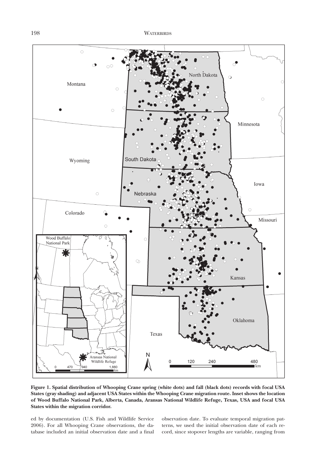

**Figure 1. Spatial distribution of Whooping Crane spring (white dots) and fall (black dots) records with focal USA States (gray shading) and adjacent USA States within the Whooping Crane migration route. Inset shows the location of Wood Buffalo National Park, Alberta, Canada, Aransas National Wildlife Refuge, Texas, USA and focal USA States within the migration corridor.**

ed by documentation (U.S. Fish and Wildlife Service 2006). For all Whooping Crane observations, the database included an initial observation date and a final

observation date. To evaluate temporal migration patterns, we used the initial observation date of each record, since stopover lengths are variable, ranging from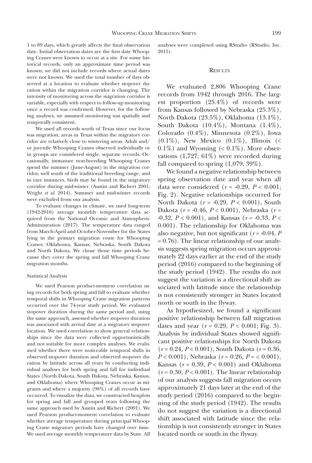1 to 89 days, which greatly affects the final observation date. Initial observation dates are the first date Whooping Cranes were known to occur at a site. For some historical records, only an approximate time period was known; we did not include records where actual dates were not known. We used the total number of days observed at a location to evaluate whether stopover duration within the migration corridor is changing. The intensity of monitoring across the migration corridor is variable, especially with respect to follow-up monitoring once a record was confirmed. However, for the following analyses, we assumed monitoring was spatially and temporally consistent.

We used all records north of Texas since our focus was migration; areas in Texas within the migratory corridor are relatively close to wintering areas. Adult and/ or juvenile Whooping Cranes observed individually or in groups are considered single, separate records. Occasionally, immature non-breeding Whooping Cranes spend the summer (June-August) in the migration corridor, well south of the traditional breeding range, and in rare instances, birds may be found in the migratory corridor during mid-winter (Austin and Richert 2001; Wright *et al*. 2014). Summer and mid-winter records were excluded from our analysis.

To evaluate changes in climate, we used long-term (1942-2016) average monthly temperature data acquired from the National Oceanic and Atmospheric Administration (2017). The temperature data ranged from March-April and October-November for the States lying in the primary migration route for Whooping Cranes: Oklahoma, Kansas, Nebraska, South Dakota and North Dakota. We chose those time periods because they cover the spring and fall Whooping Crane migration months.

#### Statistical Analysis

We used Pearson product-moment correlation using records for both spring and fall to evaluate whether temporal shifts in Whooping Crane migration patterns occurred over the 74-year study period. We evaluated stopover duration during the same period and, using the same approach, assessed whether stopover duration was associated with arrival date at a migratory stopover location. We used correlation to show general relationships since the data were collected opportunistically and not suitable for more complex analyses. We evaluated whether there were noticeable temporal shifts in observed stopover duration and observed stopover duration by latitude across all years by conducting individual analyses for both spring and fall for individual States (North Dakota, South Dakota, Nebraska, Kansas, and Oklahoma) where Whooping Cranes occur as migrants and where a majority (98%) of all records have occurred. To visualize the data, we constructed boxplots for spring and fall and grouped years following the same approach used by Austin and Richert (2001). We used Pearson product-moment correlation to evaluate whether average temperature during principal Whooping Crane migratory periods have changed over time. We used average monthly temperature data by State. All analyses were completed using RStudio (RStudio, Inc. 2015).

#### **RESULTS**

We evaluated 2,806 Whooping Crane records from 1942 through 2016. The largest proportion (25.4%) of records were from Kansas followed by Nebraska (25.3%), North Dakota (23.5%), Oklahoma (13.1%), South Dakota (10.4%), Montana (1.4%), Colorado (0.4%), Minnesota (0.2%), Iowa  $(0.1\%)$ , New Mexico  $(0.1\%)$ , Illinois  $($  $0.1\%$ ) and Wyoming (<  $0.1\%$ ). More observations (1,727; 61%) were recorded during fall compared to spring  $(1,079; 39\%).$ 

We found a negative relationship between spring observation date and year when all data were considered  $(r = -0.29, P < 0.001)$ ; Fig. 2). Negative relationships occurred for North Dakota (*r* = -0.29, *P* < 0.001), South Dakota (*r* = -0.46, *P* < 0.001), Nebraska (*r* = -0.32, *P* < 0.001), and Kansas (*r* = -0.33, *P* < 0.001). The relationship for Oklahoma was also negative, but not significant  $(r = -0.04, P)$ = 0.76). The linear relationship of our analysis suggests spring migration occurs approximately 22 days earlier at the end of the study period (2016) compared to the beginning of the study period (1942). The results do not suggest the variation is a directional shift associated with latitude since the relationship is not consistently stronger in States located north or south in the flyway.

As hypothesized, we found a significant positive relationship between fall migration dates and year  $(r = 0.29, P < 0.001;$  Fig. 3). Analysis by individual States showed significant positive relationships for North Dakota (*r* = 0.24, *P* < 0.001), South Dakota (*r* = 0.36, *P* < 0.001), Nebraska (*r* = 0.26, *P* = < 0.001), Kansas (*r* = 0.39, *P* < 0.001) and Oklahoma  $(r = 0.30, P < 0.001)$ . The linear relationship of our analysis suggests fall migration occurs approximately 21 days later at the end of the study period (2016) compared to the beginning of the study period (1942). The results do not suggest the variation is a directional shift associated with latitude since the relationship is not consistently stronger in States located north or south in the flyway.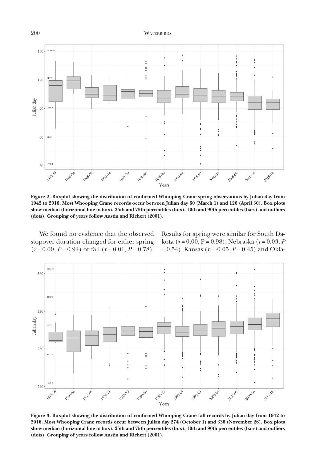### 200 WATERBIRDS



**Figure 2. Boxplot showing the distribution of confirmed Whooping Crane spring observations by Julian day from 1942 to 2016. Most Whooping Crane records occur between Julian day 60 (March 1) and 120 (April 30). Box plots show median (horizontal line in box), 25th and 75th percentiles (box), 10th and 90th percentiles (bars) and outliers (dots). Grouping of years follow Austin and Richert (2001).**

We found no evidence that the observed stopover duration changed for either spring  $(r = 0.00, P = 0.94)$  or fall  $(r = 0.01, P = 0.78)$ . Results for spring were similar for South Dakota (*r* = 0.00, P = 0.98), Nebraska (*r* = 0.03, *P* = 0.54), Kansas (*r* = -0.05, *P* = 0.45) and Okla-



**Figure 3. Boxplot showing the distribution of confirmed Whooping Crane fall records by Julian day from 1942 to 2016. Most Whooping Crane records occur between Julian day 274 (October 1) and 330 (November 26). Box plots show median (horizontal line in box), 25th and 75th percentiles (box), 10th and 90th percentiles (bars) and outliers (dots). Grouping of years follow Austin and Richert (2001).**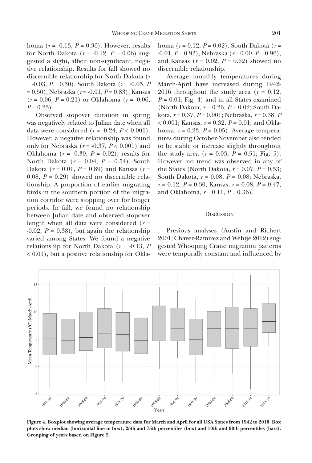homa (*r* = -0.13, *P* = 0.36). However, results for North Dakota ( $r = -0.12$ ,  $P = 0.06$ ) suggested a slight, albeit non-significant, negative relationship. Results for fall showed no discernible relationship for North Dakota (*r* = -0.03, *P* = 0.50), South Dakota (*r* = -0.05, *P* = 0.50), Nebraska (*r* = -0.01, *P* = 0.83), Kansas  $(r = 0.06, P = 0.21)$  or Oklahoma  $(r = -0.06,$  $P = 0.23$ .

Observed stopover duration in spring was negatively related to Julian date when all data were considered  $(r = -0.24, P < 0.001)$ . However, a negative relationship was found only for Nebraska (*r* = -0.37, *P* < 0.001) and Oklahoma ( $r = -0.30$ ,  $P = 0.02$ ); results for North Dakota (*r* = 0.04, *P* = 0.54), South Dakota ( $r = 0.01$ ,  $P = 0.89$ ) and Kansas ( $r =$ 0.08,  $P = 0.29$ ) showed no discernible relationship. A proportion of earlier migrating birds in the southern portion of the migration corridor were stopping over for longer periods. In fall, we found no relationship between Julian date and observed stopover length when all data were considered (*r* =  $-0.02$ ,  $P = 0.38$ ), but again the relationship varied among States. We found a negative relationship for North Dakota  $(r = -0.13, P)$ < 0.01), but a positive relationship for Okla-

homa (*r* = 0.12, *P* = 0.02). South Dakota (*r* = -0.01, *P* = 0.93), Nebraska (*r* = 0.00, *P* = 0.96), and Kansas ( $r = 0.02$ ,  $P = 0.62$ ) showed no discernible relationship.

Average monthly temperatures during March-April have increased during 1942- 2016 throughout the study area  $(r = 0.12,$  $P = 0.01$ ; Fig. 4) and in all States examined (North Dakota, *r* = 0.26, *P* = 0.02; South Dakota, *r* = 0.37, *P* = 0.001; Nebraska, *r* = 0.38, *P* < 0.001; Kansas, *r* = 0.32, *P* = 0.01; and Oklahoma, *r* = 0.23, *P* = 0.05). Average temperatures during October-November also tended to be stable or increase slightly throughout the study area  $(r = 0.03, P = 0.51;$  Fig. 5). However, no trend was observed in any of the States (North Dakota,  $r = 0.07$ ,  $P = 0.53$ ; South Dakota, *r* = 0.08, *P* = 0.08; Nebraska, *r* = 0.12, *P* = 0.30; Kansas, *r* = 0.08, *P* = 0.47; and Oklahoma, *r* = 0.11, *P* = 0.36).

#### **DISCUSSION**

Previous analyses (Austin and Richert 2001; Chavez-Ramirez and Wehtje 2012) suggested Whooping Crane migration patterns were temporally constant and influenced by



**Figure 4. Boxplot showing average temperature data for March and April for all USA States from 1942 to 2016. Box plots show median (horizontal line in box), 25th and 75th percentiles (box) and 10th and 90th percentiles (bars).**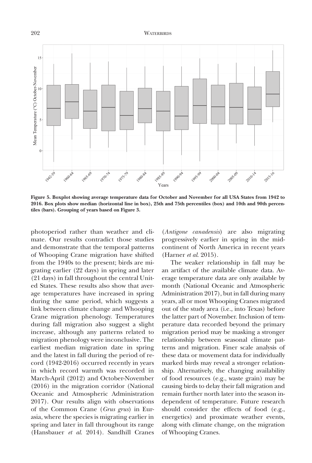#### 202 WATERBIRDS



**Figure 5. Boxplot showing average temperature data for October and November for all USA States from 1942 to 2016. Box plots show median (horizontal line in box), 25th and 75th percentiles (box) and 10th and 90th percen-**

photoperiod rather than weather and climate. Our results contradict those studies and demonstrate that the temporal patterns of Whooping Crane migration have shifted from the 1940s to the present; birds are migrating earlier (22 days) in spring and later (21 days) in fall throughout the central United States. These results also show that average temperatures have increased in spring during the same period, which suggests a link between climate change and Whooping Crane migration phenology. Temperatures during fall migration also suggest a slight increase, although any patterns related to migration phenology were inconclusive. The earliest median migration date in spring and the latest in fall during the period of record (1942-2016) occurred recently in years in which record warmth was recorded in March-April (2012) and October-November (2016) in the migration corridor (National Oceanic and Atmospheric Administration 2017). Our results align with observations of the Common Crane (*Grus grus*) in Eurasia, where the species is migrating earlier in spring and later in fall throughout its range (Hansbauer *et al*. 2014). Sandhill Cranes

(*Antigone canadensis*) are also migrating progressively earlier in spring in the midcontinent of North America in recent years (Harner *et al*. 2015).

The weaker relationship in fall may be an artifact of the available climate data. Average temperature data are only available by month (National Oceanic and Atmospheric Administration 2017), but in fall during many years, all or most Whooping Cranes migrated out of the study area (i.e., into Texas) before the latter part of November. Inclusion of temperature data recorded beyond the primary migration period may be masking a stronger relationship between seasonal climate patterns and migration. Finer scale analysis of these data or movement data for individually marked birds may reveal a stronger relationship. Alternatively, the changing availability of food resources (e.g., waste grain) may be causing birds to delay their fall migration and remain further north later into the season independent of temperature. Future research should consider the effects of food (e.g., energetics) and proximate weather events, along with climate change, on the migration of Whooping Cranes.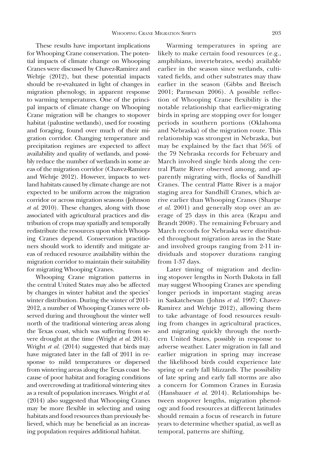These results have important implications for Whooping Crane conservation. The potential impacts of climate change on Whooping Cranes were discussed by Chavez-Ramirez and Wehtje (2012), but these potential impacts should be re-evaluated in light of changes in migration phenology, in apparent response to warming temperatures. One of the principal impacts of climate change on Whooping Crane migration will be changes to stopover habitat (palustine wetlands), used for roosting and foraging, found over much of their migration corridor. Changing temperature and precipitation regimes are expected to affect availability and quality of wetlands, and possibly reduce the number of wetlands in some areas of the migration corridor (Chavez-Ramirez and Wehtje 2012). However, impacts to wetland habitats caused by climate change are not expected to be uniform across the migration corridor or across migration seasons (Johnson *et al*. 2010). These changes, along with those associated with agricultural practices and distribution of crops may spatially and temporally redistribute the resources upon which Whooping Cranes depend. Conservation practitioners should work to identify and mitigate areas of reduced resource availability within the migration corridor to maintain their suitability for migrating Whooping Cranes.

Whooping Crane migration patterns in the central United States may also be affected by changes in winter habitat and the species' winter distribution. During the winter of 2011- 2012, a number of Whooping Cranes were observed during and throughout the winter well north of the traditional wintering areas along the Texas coast, which was suffering from severe drought at the time (Wright *et al*. 2014). Wright *et al.* (2014) suggested that birds may have migrated later in the fall of 2011 in response to mild temperatures or dispersed from wintering areas along the Texas coast because of poor habitat and foraging conditions and overcrowding at traditional wintering sites as a result of population increases. Wright *et al*. (2014) also suggested that Whooping Cranes may be more flexible in selecting and using habitats and food resources than previously believed, which may be beneficial as an increasing population requires additional habitat.

Warming temperatures in spring are likely to make certain food resources (e.g., amphibians, invertebrates, seeds) available earlier in the season since wetlands, cultivated fields, and other substrates may thaw earlier in the season (Gibbs and Breisch 2001; Parmesan 2006). A possible reflection of Whooping Crane flexibility is the notable relationship that earlier-migrating birds in spring are stopping over for longer periods in southern portions (Oklahoma and Nebraska) of the migration route. This relationship was strongest in Nebraska, but may be explained by the fact that 56% of the 79 Nebraska records for February and March involved single birds along the central Platte River observed among, and apparently migrating with, flocks of Sandhill Cranes. The central Platte River is a major staging area for Sandhill Cranes, which arrive earlier than Whooping Cranes (Sharpe *et al*. 2001) and generally stop over an average of 25 days in this area (Krapu and Brandt 2008). The remaining February and March records for Nebraska were distributed throughout migration areas in the State and involved groups ranging from 2-11 individuals and stopover durations ranging from 1-37 days.

Later timing of migration and declining stopover lengths in North Dakota in fall may suggest Whooping Cranes are spending longer periods in important staging areas in Saskatchewan (Johns *et al*. 1997; Chavez-Ramirez and Wehtje 2012), allowing them to take advantage of food resources resulting from changes in agricultural practices, and migrating quickly through the northern United States, possibly in response to adverse weather. Later migration in fall and earlier migration in spring may increase the likelihood birds could experience late spring or early fall blizzards. The possibility of late spring and early fall storms are also a concern for Common Cranes in Eurasia (Hansbauer *et al*. 2014). Relationships between stopover lengths, migration phenology and food resources at different latitudes should remain a focus of research in future years to determine whether spatial, as well as temporal, patterns are shifting.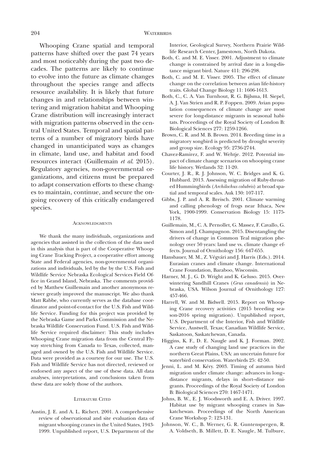Whooping Crane spatial and temporal patterns have shifted over the past 74 years and most noticeably during the past two decades. The patterns are likely to continue to evolve into the future as climate changes throughout the species range and affects resource availability. It is likely that future changes in and relationships between wintering and migration habitat and Whooping Crane distribution will increasingly interact with migration patterns observed in the central United States. Temporal and spatial patterns of a number of migratory birds have changed in unanticipated ways as changes in climate, land use, and habitat and food resources interact (Guillemain *et al*. 2015). Regulatory agencies, non-governmental organizations, and citizens must be prepared to adapt conservation efforts to these changes to maintain, continue, and secure the ongoing recovery of this critically endangered species.

#### **ACKNOWLEDGMENTS**

We thank the many individuals, organizations and agencies that assisted in the collection of the data used in this analysis that is part of the Cooperative Whooping Crane Tracking Project, a cooperative effort among State and Federal agencies, non-governmental organizations and individuals, led by the by the U.S. Fish and Wildlife Service Nebraska Ecological Services Field Office in Grand Island, Nebraska. The comments provided by Matthew Guillemain and another anonymous reviewer greatly improved the manuscript. We also thank Matt Rabbe, who currently serves as the database coordinator and point-of-contact for the U.S. Fish and Wildlife Service. Funding for this project was provided by the Nebraska Game and Parks Commission and the Nebraska Wildlife Conservation Fund. U.S. Fish and Wildlife Service required disclaimer: This study includes Whooping Crane migration data from the Central Flyway stretching from Canada to Texas, collected, managed and owned by the U.S. Fish and Wildlife Service. Data were provided as a courtesy for our use. The U.S. Fish and Wildlife Service has not directed, reviewed or endorsed any aspect of the use of these data. All data analyses, interpretations, and conclusions taken from these data are solely those of the authors.

#### LITERATURE CITED

Austin, J. E. and A. L. Richert. 2001. A comprehensive review of observational and site evaluation data of migrant whooping cranes in the United States, 1943- 1999. Unpublished report, U.S. Department of the Interior, Geological Survey, Northern Prairie Wildlife Research Center, Jamestown, North Dakota.

- Both, C. and M. E. Visser. 2001. Adjustment to climate change is constrained by arrival date in a long-distance migrant bird. Nature 411: 296-298.
- Both, C. and M. E. Visser. 2005. The effect of climate change on the correlation between avian life-history traits. Global Change Biology 11: 1606-1613.
- Both, C., C. A. Van Turnhout, R. G. Bijlsma, H. Siepel, A. J. Van Strien and R. P. Foppen. 2009. Avian population consequences of climate change are most severe for long-distance migrants in seasonal habitats. Proceedings of the Royal Society of London B: Biological Sciences 277: 1259-1266.
- Brown, C. R. and M. B. Brown. 2014. Breeding time in a migratory songbird is predicted by drought severity and group size. Ecology 95: 2736-2744.
- Chavez-Ramirez, F. and W. Wehtje. 2012. Potential impact of climate change scenarios on whooping crane life history. Wetlands 32: 11-20.
- Courter, J. R., R. J. Johnson, W. C. Bridges and K. G. Hubbard. 2013. Assessing migration of Ruby-throated Hummingbirds (*Archilochus colubris*) at broad spatial and temporal scales. Auk 130: 107-117.
- Gibbs, J. P. and A. R. Breisch. 2001. Climate warming and calling phenology of frogs near Ithaca, New York, 1900-1999. Conservation Biology 15: 1175- 1178.
- Guillemain, M., C. A. Pernollet, G. Massez, F. Cavallo, G. Simon and J. Champagnon. 2015. Disentangling the drivers of change in Common Teal migration phenology over 50 years: land use vs. climate change effects. Journal of Ornithology 156: 647-655.
- Hansbauer, M. M., Z. Végvári and J. Harris (Eds.). 2014. Eurasian cranes and climate change. International Crane Foundation, Baraboo, Wisconsin.
- Harner, M. J., G. D. Wright and K. Geluso. 2015. Overwintering Sandhill Cranes (*Grus canadensis*) in Nebraska, USA. Wilson Journal of Ornithology 127: 457-466.
- Harrell, W. and M. Bidwell. 2015. Report on Whooping Crane recovery activities (2015 breeding season-2016 spring migration). Unpublished report, U.S. Department of the Interior, Fish and Wildlife Service, Austwell, Texas; Canadian Wildlife Service, Saskatoon, Saskatchewan, Canada.
- Higgins, K. F., D. E. Naugle and K. J. Forman. 2002. A case study of changing land use practices in the northern Great Plains, USA: an uncertain future for waterbird conservation. Waterbirds 25: 42-50.
- Jenni, L. and M. Kéry. 2003. Timing of autumn bird migration under climate change: advances in long– distance migrants, delays in short–distance migrants. Proceedings of the Royal Society of London B: Biological Sciences 270: 1467-1471.
- Johns, B. W., E. J. Woodsworth and E. A. Driver. 1997. Habitat use by migrant whooping cranes in Saskatchewan. Proceedings of the North American Crane Workshop 7: 123-131.
- Johnson, W. C., B. Werner, G. R. Guntenspergen, R. A. Voldseth, B. Millett, D. E. Naugle, M. Tulbure,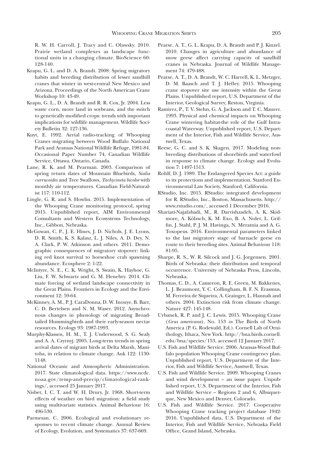R. W. H. Carroll, J. Tracy and C. Olawsky. 2010. Prairie wetland complexes as landscape functional units in a changing climate. BioScience 60: 128-140.

- Krapu, G. L. and D. A. Brandt. 2008. Spring migratory habits and breeding distribution of lesser sandhill cranes that winter in west-central New Mexico and Arizona. Proceedings of the North American Crane Workshop 10: 43-49.
- Krapu, G. L., D. A. Brandt and R. R. Cox, Jr. 2004. Less waste corn, more land in soybeans, and the switch to genetically modified crops: trends with important implications for wildlife management. Wildlife Society Bulletin 32: 127-136.
- Kuyt, E. 1992. Aerial radio-tracking of Whooping Cranes migrating between Wood Buffalo National Park and Aransas National Wildlife Refuge, 1981-84. Occasional Paper Number 74, Canadian Wildlife Service, Ottawa, Ontario, Canada.
- Lane, R. K. and M. Pearman. 2003. Comparison of spring return dates of Mountain Bluebirds, *Sialia currucoides* and Tree Swallows, *Tachycineta bicolor* with monthly air temperatures. Canadian Field-Naturalist 117: 110-112.
- Lingle, G. R. and S. Howlin. 2015. Implementation of the Whooping Crane monitoring protocol, spring 2015. Unpublished report, AIM Environmental Consultants and Western Ecosystems Technology, Inc., Gibbon, Nebraska.
- McGowan, C. P., J. E. Hines, J. D. Nichols, J. E. Lyons, D. R. Smith, K. S. Kalasz, L. J. Niles, A. D. Dey, N. A. Clark, P. W. Atkinson and others. 2011. Demographic consequences of migratory stopover: linking red knot survival to horseshoe crab spawning abundance. Ecosphere 2: 1-22.
- McIntyre, N. E., C. K. Wright, S. Swain, K. Hayhoe, G. Liu, F. W. Schwartz and G. M. Henebry. 2014. Climate forcing of wetland landscape connectivity in the Great Plains. Frontiers in Ecology and the Environment 12: 59-64.
- McKinney, A. M., P. J. CaraDonna, D. W. Inouye, B. Barr, C. D. Bertelsen and N. M. Waser. 2012. Asynchronous changes in phenology of migrating Broadtailed Hummingbirds and their early-season nectar resources. Ecology 93: 1987-1993.
- Murphy-Klassen, H. M., T. J. Underwood, S. G. Sealy and A. A. Czyrnyj. 2005. Long-term trends in spring arrival dates of migrant birds at Delta Marsh, Manitoba, in relation to climate change. Auk 122: 1130- 1148.
- National Oceanic and Atmospheric Administration. 2017. State climatological data. https://www.ncdc. noaa.gov/temp-and-precip/climatological-rankings/, accessed 25 January 2017.
- Nisbet, I. C. T. and W. H. Drury, Jr. 1968. Short-term effects of weather on bird migration: a field study using multivariate statistics. Animal Behaviour 16: 496-530.
- Parmesan, C. 2006. Ecological and evolutionary responses to recent climate change. Annual Review of Ecology, Evolution, and Systematics 37: 637-669.
- Pearse, A. T., G. L. Krapu, D. A. Brandt and P. J. Kinzel. 2010. Changes in agriculture and abundance of snow geese affect carrying capacity of sandhill cranes in Nebraska. Journal of Wildlife Management 74: 479-488.
- Pearse, A. T., D. A. Brandt, W. C. Harrell, K. L. Metzger, D. M. Baasch and T. J. Hefley. 2015. Whooping crane stopover site use intensity within the Great Plains. Unpublished report, U.S. Department of the Interior, Geological Survey, Reston, Virginia.
- Ramirez, P., T. V. Stehn, G. A. Jackson and T. C. Maurer. 1993. Physical and chemical impacts on Whooping Crane wintering habitat-the role of the Gulf Intracoastal Waterway. Unpublished report, U.S. Department of the Interior, Fish and Wildlife Service, Austwell, Texas.
- Reese, G. C. and S. K. Skagen. 2017. Modeling nonbreeding distributions of shorebirds and waterfowl in response to climate change. Ecology and Evolution 7: 1497-1513.
- Rohlf, D. J. 1989. The Endangered Species Act: a guide to its protections and implementation. Stanford Environmental Law Society, Stanford, California.
- RStudio, Inc. 2015. RStudio: integrated development for R. RStudio, Inc., Boston, Massachusetts. http:// www.rstudio.com/, accessed 1 December 2016.
- Shariati-Najafabadi, M., R. Darvishzadeh, A. K. Skidmore, A. Kölzsch, K. M. Exo, B. A. Nolet, L. Griffin, J. Stahl, P. J. M. Havinga, N. Meratnia and A. G. Toxopeus. 2016. Environmental parameters linked to the last migratory stage of barnacle geese en route to their breeding sites. Animal Behaviour 118: 81-95.
- Sharpe, R. S., W. R. Silcock and J. G. Jorgensen. 2001. Birds of Nebraska: their distribution and temporal occurrence. University of Nebraska Press, Lincoln, Nebraska.
- Thomas, C. D., A. Cameron, R. E. Green, M. Bakkenes, L. J. Beaumont, Y. C. Collingham, B. F. N. Erasmus, M. Ferreira de Siqueira, A. Grainger, L. Hannah and others. 2004. Extinction risk from climate change. Nature 427: 145-148.
- Urbanek, R. P. and J. C. Lewis. 2015. Whooping Crane (*Grus americana*). No. 153 *in* The Birds of North America (P. G. Rodewald, Ed.). Cornell Lab of Ornithology, Ithaca, New York. http://bna.birds.cornell. edu/bna/species/153, accessed 12 January 2017.
- U.S. Fish and Wildlife Service. 2006. Aransas-Wood Buffalo population Whooping Crane contingency plan. Unpublished report, U.S. Department of the Interior, Fish and Wildlife Service, Austwell, Texas.
- U.S. Fish and Wildlife Service. 2009. Whooping Cranes and wind development – an issue paper. Unpublished report, U.S. Department of the Interior, Fish and Wildlife Service – Regions 2 and 6, Albuquerque, New Mexico and Denver, Colorado.
- U.S. Fish and Wildlife Service. 2017. Cooperative Whooping Crane tracking project database 1942- 2016. Unpublished data, U.S. Department of the Interior, Fish and Wildlife Service, Nebraska Field Office, Grand Island, Nebraska.